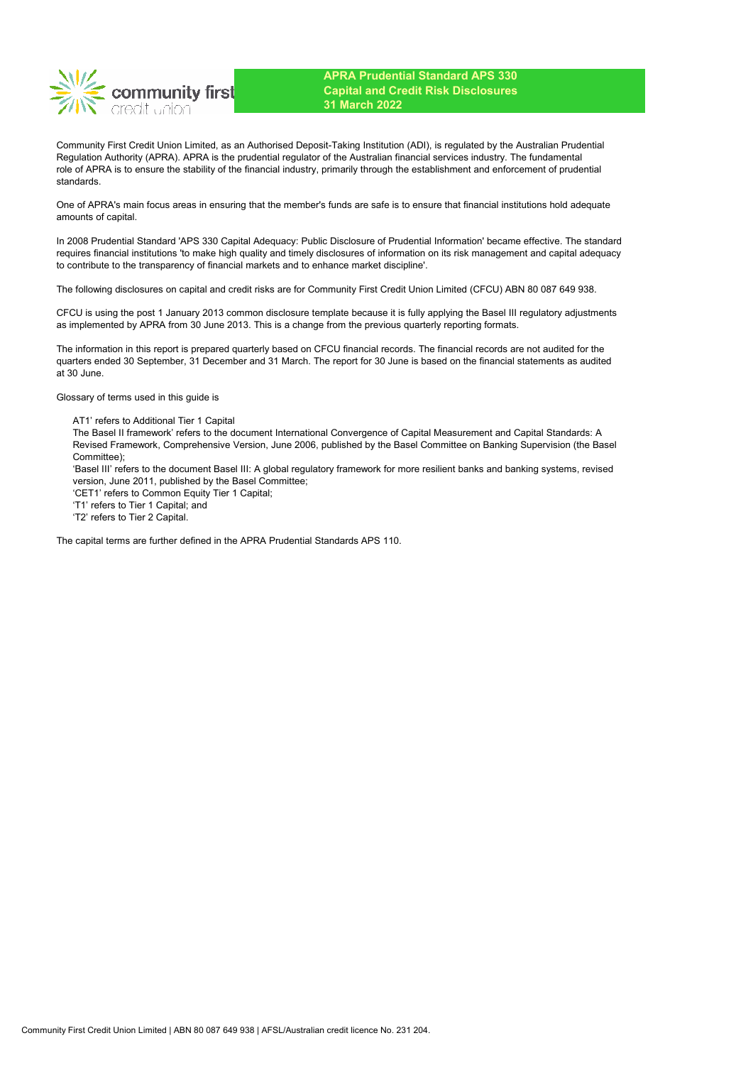

Community First Credit Union Limited, as an Authorised Deposit-Taking Institution (ADI), is regulated by the Australian Prudential Regulation Authority (APRA). APRA is the prudential regulator of the Australian financial services industry. The fundamental role of APRA is to ensure the stability of the financial industry, primarily through the establishment and enforcement of prudential standards.

One of APRA's main focus areas in ensuring that the member's funds are safe is to ensure that financial institutions hold adequate amounts of capital.

In 2008 Prudential Standard 'APS 330 Capital Adequacy: Public Disclosure of Prudential Information' became effective. The standard requires financial institutions 'to make high quality and timely disclosures of information on its risk management and capital adequacy to contribute to the transparency of financial markets and to enhance market discipline'.

The following disclosures on capital and credit risks are for Community First Credit Union Limited (CFCU) ABN 80 087 649 938.

CFCU is using the post 1 January 2013 common disclosure template because it is fully applying the Basel III regulatory adjustments as implemented by APRA from 30 June 2013. This is a change from the previous quarterly reporting formats.

The information in this report is prepared quarterly based on CFCU financial records. The financial records are not audited for the quarters ended 30 September, 31 December and 31 March. The report for 30 June is based on the financial statements as audited at 30 June.

Glossary of terms used in this guide is

AT1' refers to Additional Tier 1 Capital

The Basel II framework' refers to the document International Convergence of Capital Measurement and Capital Standards: A Revised Framework, Comprehensive Version, June 2006, published by the Basel Committee on Banking Supervision (the Basel Committee);

'Basel III' refers to the document Basel III: A global regulatory framework for more resilient banks and banking systems, revised version, June 2011, published by the Basel Committee;

'CET1' refers to Common Equity Tier 1 Capital;

'T1' refers to Tier 1 Capital; and

'T2' refers to Tier 2 Capital.

The capital terms are further defined in the APRA Prudential Standards APS 110.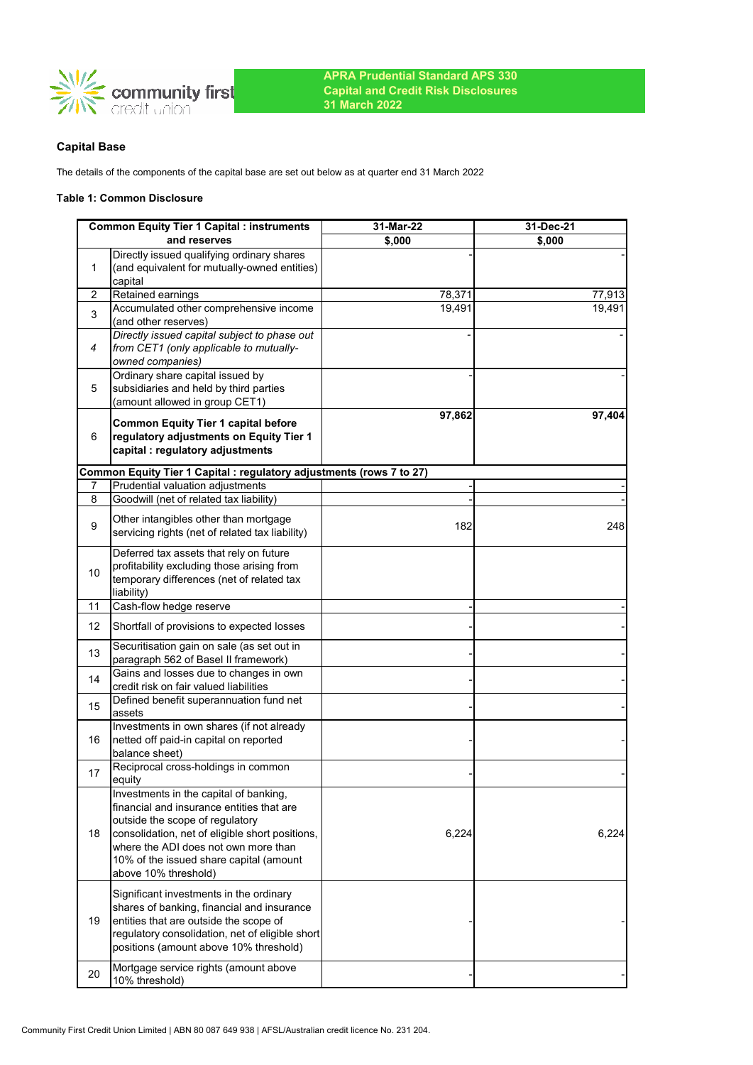

# **Capital Base**

The details of the components of the capital base are set out below as at quarter end 31 March 2022

### **Table 1: Common Disclosure**

|    | <b>Common Equity Tier 1 Capital : instruments</b>                                                                                                                                                                                                                                    | 31-Mar-22 | 31-Dec-21 |
|----|--------------------------------------------------------------------------------------------------------------------------------------------------------------------------------------------------------------------------------------------------------------------------------------|-----------|-----------|
|    | and reserves                                                                                                                                                                                                                                                                         | \$,000    | \$,000    |
| 1  | Directly issued qualifying ordinary shares<br>(and equivalent for mutually-owned entities)<br>capital                                                                                                                                                                                |           |           |
| 2  | Retained earnings                                                                                                                                                                                                                                                                    | 78,371    | 77,913    |
| 3  | Accumulated other comprehensive income<br>(and other reserves)                                                                                                                                                                                                                       | 19,491    | 19,491    |
| 4  | Directly issued capital subject to phase out<br>from CET1 (only applicable to mutually-<br>owned companies)                                                                                                                                                                          |           |           |
| 5  | Ordinary share capital issued by<br>subsidiaries and held by third parties<br>(amount allowed in group CET1)                                                                                                                                                                         |           |           |
| 6  | <b>Common Equity Tier 1 capital before</b><br>regulatory adjustments on Equity Tier 1<br>capital : regulatory adjustments                                                                                                                                                            | 97,862    | 97,404    |
|    | Common Equity Tier 1 Capital : regulatory adjustments (rows 7 to 27)                                                                                                                                                                                                                 |           |           |
| 7  | Prudential valuation adjustments                                                                                                                                                                                                                                                     |           |           |
| 8  | Goodwill (net of related tax liability)                                                                                                                                                                                                                                              |           |           |
| 9  | Other intangibles other than mortgage<br>servicing rights (net of related tax liability)                                                                                                                                                                                             | 182       | 248       |
| 10 | Deferred tax assets that rely on future<br>profitability excluding those arising from<br>temporary differences (net of related tax<br>liability)                                                                                                                                     |           |           |
| 11 | Cash-flow hedge reserve                                                                                                                                                                                                                                                              |           |           |
| 12 | Shortfall of provisions to expected losses                                                                                                                                                                                                                                           |           |           |
| 13 | Securitisation gain on sale (as set out in<br>paragraph 562 of Basel II framework)                                                                                                                                                                                                   |           |           |
| 14 | Gains and losses due to changes in own<br>credit risk on fair valued liabilities                                                                                                                                                                                                     |           |           |
| 15 | Defined benefit superannuation fund net<br>assets                                                                                                                                                                                                                                    |           |           |
| 16 | Investments in own shares (if not already<br>netted off paid-in capital on reported<br>balance sheet)                                                                                                                                                                                |           |           |
| 17 | Reciprocal cross-holdings in common<br>equity                                                                                                                                                                                                                                        |           |           |
| 18 | Investments in the capital of banking,<br>financial and insurance entities that are<br>outside the scope of regulatory<br>consolidation, net of eligible short positions,<br>where the ADI does not own more than<br>10% of the issued share capital (amount<br>above 10% threshold) | 6,224     | 6,224     |
| 19 | Significant investments in the ordinary<br>shares of banking, financial and insurance<br>entities that are outside the scope of<br>regulatory consolidation, net of eligible short<br>positions (amount above 10% threshold)                                                         |           |           |
| 20 | Mortgage service rights (amount above<br>10% threshold)                                                                                                                                                                                                                              |           |           |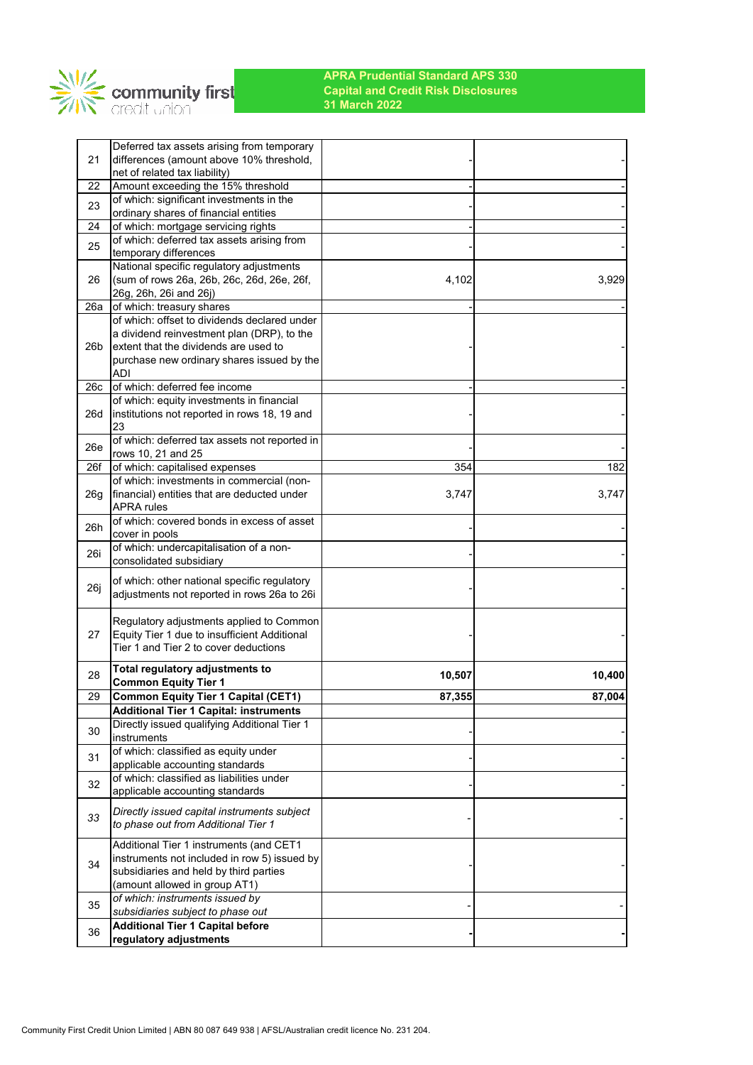

| Deferred tax assets arising from temporary    |                                                                                                                                                                                                                                                                                                                                                                                                                                                                                                                                                                                                                                                                                                                                                                                                                                                                                                                                                                                                                                                                                                                                                                                                                                                                                                                                                                                                                                                                                                                                                                                                                                                                    |                        |
|-----------------------------------------------|--------------------------------------------------------------------------------------------------------------------------------------------------------------------------------------------------------------------------------------------------------------------------------------------------------------------------------------------------------------------------------------------------------------------------------------------------------------------------------------------------------------------------------------------------------------------------------------------------------------------------------------------------------------------------------------------------------------------------------------------------------------------------------------------------------------------------------------------------------------------------------------------------------------------------------------------------------------------------------------------------------------------------------------------------------------------------------------------------------------------------------------------------------------------------------------------------------------------------------------------------------------------------------------------------------------------------------------------------------------------------------------------------------------------------------------------------------------------------------------------------------------------------------------------------------------------------------------------------------------------------------------------------------------------|------------------------|
| net of related tax liability)                 |                                                                                                                                                                                                                                                                                                                                                                                                                                                                                                                                                                                                                                                                                                                                                                                                                                                                                                                                                                                                                                                                                                                                                                                                                                                                                                                                                                                                                                                                                                                                                                                                                                                                    |                        |
|                                               |                                                                                                                                                                                                                                                                                                                                                                                                                                                                                                                                                                                                                                                                                                                                                                                                                                                                                                                                                                                                                                                                                                                                                                                                                                                                                                                                                                                                                                                                                                                                                                                                                                                                    |                        |
|                                               |                                                                                                                                                                                                                                                                                                                                                                                                                                                                                                                                                                                                                                                                                                                                                                                                                                                                                                                                                                                                                                                                                                                                                                                                                                                                                                                                                                                                                                                                                                                                                                                                                                                                    |                        |
|                                               |                                                                                                                                                                                                                                                                                                                                                                                                                                                                                                                                                                                                                                                                                                                                                                                                                                                                                                                                                                                                                                                                                                                                                                                                                                                                                                                                                                                                                                                                                                                                                                                                                                                                    |                        |
|                                               |                                                                                                                                                                                                                                                                                                                                                                                                                                                                                                                                                                                                                                                                                                                                                                                                                                                                                                                                                                                                                                                                                                                                                                                                                                                                                                                                                                                                                                                                                                                                                                                                                                                                    |                        |
|                                               |                                                                                                                                                                                                                                                                                                                                                                                                                                                                                                                                                                                                                                                                                                                                                                                                                                                                                                                                                                                                                                                                                                                                                                                                                                                                                                                                                                                                                                                                                                                                                                                                                                                                    |                        |
|                                               |                                                                                                                                                                                                                                                                                                                                                                                                                                                                                                                                                                                                                                                                                                                                                                                                                                                                                                                                                                                                                                                                                                                                                                                                                                                                                                                                                                                                                                                                                                                                                                                                                                                                    |                        |
| (sum of rows 26a, 26b, 26c, 26d, 26e, 26f,    | 4,102                                                                                                                                                                                                                                                                                                                                                                                                                                                                                                                                                                                                                                                                                                                                                                                                                                                                                                                                                                                                                                                                                                                                                                                                                                                                                                                                                                                                                                                                                                                                                                                                                                                              | 3,929                  |
| 26g, 26h, 26i and 26j)                        |                                                                                                                                                                                                                                                                                                                                                                                                                                                                                                                                                                                                                                                                                                                                                                                                                                                                                                                                                                                                                                                                                                                                                                                                                                                                                                                                                                                                                                                                                                                                                                                                                                                                    |                        |
|                                               |                                                                                                                                                                                                                                                                                                                                                                                                                                                                                                                                                                                                                                                                                                                                                                                                                                                                                                                                                                                                                                                                                                                                                                                                                                                                                                                                                                                                                                                                                                                                                                                                                                                                    |                        |
|                                               |                                                                                                                                                                                                                                                                                                                                                                                                                                                                                                                                                                                                                                                                                                                                                                                                                                                                                                                                                                                                                                                                                                                                                                                                                                                                                                                                                                                                                                                                                                                                                                                                                                                                    |                        |
|                                               |                                                                                                                                                                                                                                                                                                                                                                                                                                                                                                                                                                                                                                                                                                                                                                                                                                                                                                                                                                                                                                                                                                                                                                                                                                                                                                                                                                                                                                                                                                                                                                                                                                                                    |                        |
|                                               |                                                                                                                                                                                                                                                                                                                                                                                                                                                                                                                                                                                                                                                                                                                                                                                                                                                                                                                                                                                                                                                                                                                                                                                                                                                                                                                                                                                                                                                                                                                                                                                                                                                                    |                        |
|                                               |                                                                                                                                                                                                                                                                                                                                                                                                                                                                                                                                                                                                                                                                                                                                                                                                                                                                                                                                                                                                                                                                                                                                                                                                                                                                                                                                                                                                                                                                                                                                                                                                                                                                    |                        |
|                                               |                                                                                                                                                                                                                                                                                                                                                                                                                                                                                                                                                                                                                                                                                                                                                                                                                                                                                                                                                                                                                                                                                                                                                                                                                                                                                                                                                                                                                                                                                                                                                                                                                                                                    |                        |
| of which: equity investments in financial     |                                                                                                                                                                                                                                                                                                                                                                                                                                                                                                                                                                                                                                                                                                                                                                                                                                                                                                                                                                                                                                                                                                                                                                                                                                                                                                                                                                                                                                                                                                                                                                                                                                                                    |                        |
| institutions not reported in rows 18, 19 and  |                                                                                                                                                                                                                                                                                                                                                                                                                                                                                                                                                                                                                                                                                                                                                                                                                                                                                                                                                                                                                                                                                                                                                                                                                                                                                                                                                                                                                                                                                                                                                                                                                                                                    |                        |
|                                               |                                                                                                                                                                                                                                                                                                                                                                                                                                                                                                                                                                                                                                                                                                                                                                                                                                                                                                                                                                                                                                                                                                                                                                                                                                                                                                                                                                                                                                                                                                                                                                                                                                                                    |                        |
|                                               |                                                                                                                                                                                                                                                                                                                                                                                                                                                                                                                                                                                                                                                                                                                                                                                                                                                                                                                                                                                                                                                                                                                                                                                                                                                                                                                                                                                                                                                                                                                                                                                                                                                                    |                        |
|                                               |                                                                                                                                                                                                                                                                                                                                                                                                                                                                                                                                                                                                                                                                                                                                                                                                                                                                                                                                                                                                                                                                                                                                                                                                                                                                                                                                                                                                                                                                                                                                                                                                                                                                    | 182                    |
|                                               |                                                                                                                                                                                                                                                                                                                                                                                                                                                                                                                                                                                                                                                                                                                                                                                                                                                                                                                                                                                                                                                                                                                                                                                                                                                                                                                                                                                                                                                                                                                                                                                                                                                                    |                        |
|                                               |                                                                                                                                                                                                                                                                                                                                                                                                                                                                                                                                                                                                                                                                                                                                                                                                                                                                                                                                                                                                                                                                                                                                                                                                                                                                                                                                                                                                                                                                                                                                                                                                                                                                    | 3,747                  |
|                                               |                                                                                                                                                                                                                                                                                                                                                                                                                                                                                                                                                                                                                                                                                                                                                                                                                                                                                                                                                                                                                                                                                                                                                                                                                                                                                                                                                                                                                                                                                                                                                                                                                                                                    |                        |
| of which: covered bonds in excess of asset    |                                                                                                                                                                                                                                                                                                                                                                                                                                                                                                                                                                                                                                                                                                                                                                                                                                                                                                                                                                                                                                                                                                                                                                                                                                                                                                                                                                                                                                                                                                                                                                                                                                                                    |                        |
|                                               |                                                                                                                                                                                                                                                                                                                                                                                                                                                                                                                                                                                                                                                                                                                                                                                                                                                                                                                                                                                                                                                                                                                                                                                                                                                                                                                                                                                                                                                                                                                                                                                                                                                                    |                        |
|                                               |                                                                                                                                                                                                                                                                                                                                                                                                                                                                                                                                                                                                                                                                                                                                                                                                                                                                                                                                                                                                                                                                                                                                                                                                                                                                                                                                                                                                                                                                                                                                                                                                                                                                    |                        |
|                                               |                                                                                                                                                                                                                                                                                                                                                                                                                                                                                                                                                                                                                                                                                                                                                                                                                                                                                                                                                                                                                                                                                                                                                                                                                                                                                                                                                                                                                                                                                                                                                                                                                                                                    |                        |
|                                               |                                                                                                                                                                                                                                                                                                                                                                                                                                                                                                                                                                                                                                                                                                                                                                                                                                                                                                                                                                                                                                                                                                                                                                                                                                                                                                                                                                                                                                                                                                                                                                                                                                                                    |                        |
|                                               |                                                                                                                                                                                                                                                                                                                                                                                                                                                                                                                                                                                                                                                                                                                                                                                                                                                                                                                                                                                                                                                                                                                                                                                                                                                                                                                                                                                                                                                                                                                                                                                                                                                                    |                        |
|                                               |                                                                                                                                                                                                                                                                                                                                                                                                                                                                                                                                                                                                                                                                                                                                                                                                                                                                                                                                                                                                                                                                                                                                                                                                                                                                                                                                                                                                                                                                                                                                                                                                                                                                    |                        |
|                                               |                                                                                                                                                                                                                                                                                                                                                                                                                                                                                                                                                                                                                                                                                                                                                                                                                                                                                                                                                                                                                                                                                                                                                                                                                                                                                                                                                                                                                                                                                                                                                                                                                                                                    |                        |
| Tier 1 and Tier 2 to cover deductions         |                                                                                                                                                                                                                                                                                                                                                                                                                                                                                                                                                                                                                                                                                                                                                                                                                                                                                                                                                                                                                                                                                                                                                                                                                                                                                                                                                                                                                                                                                                                                                                                                                                                                    |                        |
|                                               |                                                                                                                                                                                                                                                                                                                                                                                                                                                                                                                                                                                                                                                                                                                                                                                                                                                                                                                                                                                                                                                                                                                                                                                                                                                                                                                                                                                                                                                                                                                                                                                                                                                                    |                        |
|                                               | 10,507                                                                                                                                                                                                                                                                                                                                                                                                                                                                                                                                                                                                                                                                                                                                                                                                                                                                                                                                                                                                                                                                                                                                                                                                                                                                                                                                                                                                                                                                                                                                                                                                                                                             | 10,400                 |
|                                               |                                                                                                                                                                                                                                                                                                                                                                                                                                                                                                                                                                                                                                                                                                                                                                                                                                                                                                                                                                                                                                                                                                                                                                                                                                                                                                                                                                                                                                                                                                                                                                                                                                                                    | 87,004                 |
| <b>Additional Tier 1 Capital: instruments</b> |                                                                                                                                                                                                                                                                                                                                                                                                                                                                                                                                                                                                                                                                                                                                                                                                                                                                                                                                                                                                                                                                                                                                                                                                                                                                                                                                                                                                                                                                                                                                                                                                                                                                    |                        |
| Directly issued qualifying Additional Tier 1  |                                                                                                                                                                                                                                                                                                                                                                                                                                                                                                                                                                                                                                                                                                                                                                                                                                                                                                                                                                                                                                                                                                                                                                                                                                                                                                                                                                                                                                                                                                                                                                                                                                                                    |                        |
| instruments                                   |                                                                                                                                                                                                                                                                                                                                                                                                                                                                                                                                                                                                                                                                                                                                                                                                                                                                                                                                                                                                                                                                                                                                                                                                                                                                                                                                                                                                                                                                                                                                                                                                                                                                    |                        |
|                                               |                                                                                                                                                                                                                                                                                                                                                                                                                                                                                                                                                                                                                                                                                                                                                                                                                                                                                                                                                                                                                                                                                                                                                                                                                                                                                                                                                                                                                                                                                                                                                                                                                                                                    |                        |
|                                               |                                                                                                                                                                                                                                                                                                                                                                                                                                                                                                                                                                                                                                                                                                                                                                                                                                                                                                                                                                                                                                                                                                                                                                                                                                                                                                                                                                                                                                                                                                                                                                                                                                                                    |                        |
|                                               |                                                                                                                                                                                                                                                                                                                                                                                                                                                                                                                                                                                                                                                                                                                                                                                                                                                                                                                                                                                                                                                                                                                                                                                                                                                                                                                                                                                                                                                                                                                                                                                                                                                                    |                        |
|                                               |                                                                                                                                                                                                                                                                                                                                                                                                                                                                                                                                                                                                                                                                                                                                                                                                                                                                                                                                                                                                                                                                                                                                                                                                                                                                                                                                                                                                                                                                                                                                                                                                                                                                    |                        |
|                                               |                                                                                                                                                                                                                                                                                                                                                                                                                                                                                                                                                                                                                                                                                                                                                                                                                                                                                                                                                                                                                                                                                                                                                                                                                                                                                                                                                                                                                                                                                                                                                                                                                                                                    |                        |
|                                               |                                                                                                                                                                                                                                                                                                                                                                                                                                                                                                                                                                                                                                                                                                                                                                                                                                                                                                                                                                                                                                                                                                                                                                                                                                                                                                                                                                                                                                                                                                                                                                                                                                                                    |                        |
| Additional Tier 1 instruments (and CET1       |                                                                                                                                                                                                                                                                                                                                                                                                                                                                                                                                                                                                                                                                                                                                                                                                                                                                                                                                                                                                                                                                                                                                                                                                                                                                                                                                                                                                                                                                                                                                                                                                                                                                    |                        |
| instruments not included in row 5) issued by  |                                                                                                                                                                                                                                                                                                                                                                                                                                                                                                                                                                                                                                                                                                                                                                                                                                                                                                                                                                                                                                                                                                                                                                                                                                                                                                                                                                                                                                                                                                                                                                                                                                                                    |                        |
|                                               |                                                                                                                                                                                                                                                                                                                                                                                                                                                                                                                                                                                                                                                                                                                                                                                                                                                                                                                                                                                                                                                                                                                                                                                                                                                                                                                                                                                                                                                                                                                                                                                                                                                                    |                        |
|                                               |                                                                                                                                                                                                                                                                                                                                                                                                                                                                                                                                                                                                                                                                                                                                                                                                                                                                                                                                                                                                                                                                                                                                                                                                                                                                                                                                                                                                                                                                                                                                                                                                                                                                    |                        |
|                                               |                                                                                                                                                                                                                                                                                                                                                                                                                                                                                                                                                                                                                                                                                                                                                                                                                                                                                                                                                                                                                                                                                                                                                                                                                                                                                                                                                                                                                                                                                                                                                                                                                                                                    |                        |
|                                               |                                                                                                                                                                                                                                                                                                                                                                                                                                                                                                                                                                                                                                                                                                                                                                                                                                                                                                                                                                                                                                                                                                                                                                                                                                                                                                                                                                                                                                                                                                                                                                                                                                                                    |                        |
|                                               |                                                                                                                                                                                                                                                                                                                                                                                                                                                                                                                                                                                                                                                                                                                                                                                                                                                                                                                                                                                                                                                                                                                                                                                                                                                                                                                                                                                                                                                                                                                                                                                                                                                                    |                        |
|                                               | differences (amount above 10% threshold,<br>Amount exceeding the 15% threshold<br>of which: significant investments in the<br>ordinary shares of financial entities<br>of which: mortgage servicing rights<br>of which: deferred tax assets arising from<br>temporary differences<br>National specific regulatory adjustments<br>of which: treasury shares<br>of which: offset to dividends declared under<br>a dividend reinvestment plan (DRP), to the<br>extent that the dividends are used to<br>purchase new ordinary shares issued by the<br>ADI<br>of which: deferred fee income<br>23<br>of which: deferred tax assets not reported in<br>rows 10, 21 and 25<br>of which: capitalised expenses<br>of which: investments in commercial (non-<br>financial) entities that are deducted under<br><b>APRA</b> rules<br>cover in pools<br>of which: undercapitalisation of a non-<br>consolidated subsidiary<br>of which: other national specific regulatory<br>adjustments not reported in rows 26a to 26i<br>Regulatory adjustments applied to Common<br>Equity Tier 1 due to insufficient Additional<br>Total regulatory adjustments to<br><b>Common Equity Tier 1</b><br>Common Equity Tier 1 Capital (CET1)<br>of which: classified as equity under<br>applicable accounting standards<br>of which: classified as liabilities under<br>applicable accounting standards<br>Directly issued capital instruments subject<br>to phase out from Additional Tier 1<br>subsidiaries and held by third parties<br>(amount allowed in group AT1)<br>of which: instruments issued by<br>subsidiaries subject to phase out<br><b>Additional Tier 1 Capital before</b> | 354<br>3,747<br>87,355 |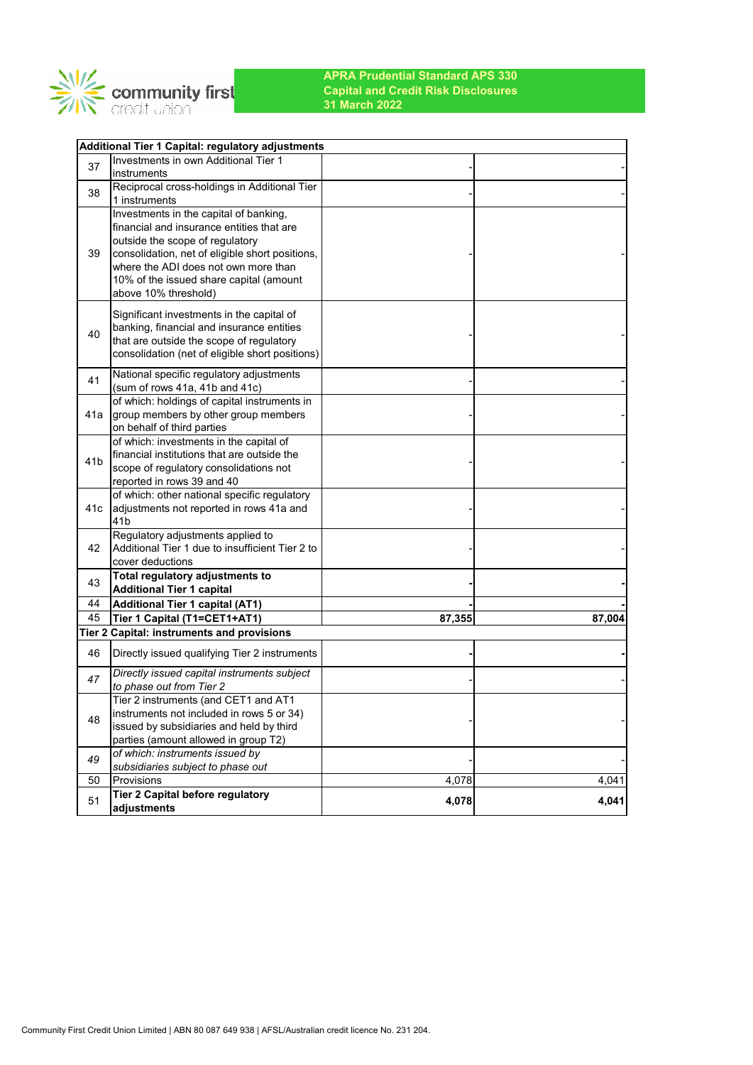

|                 | Additional Tier 1 Capital: regulatory adjustments |        |        |
|-----------------|---------------------------------------------------|--------|--------|
| 37              | Investments in own Additional Tier 1              |        |        |
|                 | instruments                                       |        |        |
| 38              | Reciprocal cross-holdings in Additional Tier      |        |        |
|                 | 1 instruments                                     |        |        |
|                 | Investments in the capital of banking,            |        |        |
|                 | financial and insurance entities that are         |        |        |
|                 | outside the scope of regulatory                   |        |        |
| 39              | consolidation, net of eligible short positions,   |        |        |
|                 | where the ADI does not own more than              |        |        |
|                 | 10% of the issued share capital (amount           |        |        |
|                 | above 10% threshold)                              |        |        |
|                 | Significant investments in the capital of         |        |        |
|                 | banking, financial and insurance entities         |        |        |
| 40              | that are outside the scope of regulatory          |        |        |
|                 | consolidation (net of eligible short positions)   |        |        |
|                 |                                                   |        |        |
| 41              | National specific regulatory adjustments          |        |        |
|                 | (sum of rows 41a, 41b and 41c)                    |        |        |
|                 | of which: holdings of capital instruments in      |        |        |
| 41a             | group members by other group members              |        |        |
|                 | on behalf of third parties                        |        |        |
|                 | of which: investments in the capital of           |        |        |
| 41 <sub>b</sub> | financial institutions that are outside the       |        |        |
|                 | scope of regulatory consolidations not            |        |        |
|                 | reported in rows 39 and 40                        |        |        |
|                 | of which: other national specific regulatory      |        |        |
| 41c             | adjustments not reported in rows 41a and          |        |        |
|                 | 41 <sub>b</sub>                                   |        |        |
|                 | Regulatory adjustments applied to                 |        |        |
| 42              | Additional Tier 1 due to insufficient Tier 2 to   |        |        |
|                 | cover deductions                                  |        |        |
| 43              | Total regulatory adjustments to                   |        |        |
|                 | <b>Additional Tier 1 capital</b>                  |        |        |
| 44              | <b>Additional Tier 1 capital (AT1)</b>            |        |        |
| 45              | Tier 1 Capital (T1=CET1+AT1)                      | 87,355 | 87,004 |
|                 | Tier 2 Capital: instruments and provisions        |        |        |
| 46              | Directly issued qualifying Tier 2 instruments     |        |        |
| 47              | Directly issued capital instruments subject       |        |        |
|                 | to phase out from Tier 2                          |        |        |
|                 | Tier 2 instruments (and CET1 and AT1              |        |        |
| 48              | instruments not included in rows 5 or 34)         |        |        |
|                 | issued by subsidiaries and held by third          |        |        |
|                 | parties (amount allowed in group T2)              |        |        |
| 49              | of which: instruments issued by                   |        |        |
|                 | subsidiaries subject to phase out                 |        |        |
| 50              | Provisions                                        | 4,078  | 4,041  |
| 51              | Tier 2 Capital before regulatory                  | 4,078  | 4,041  |
|                 | adjustments                                       |        |        |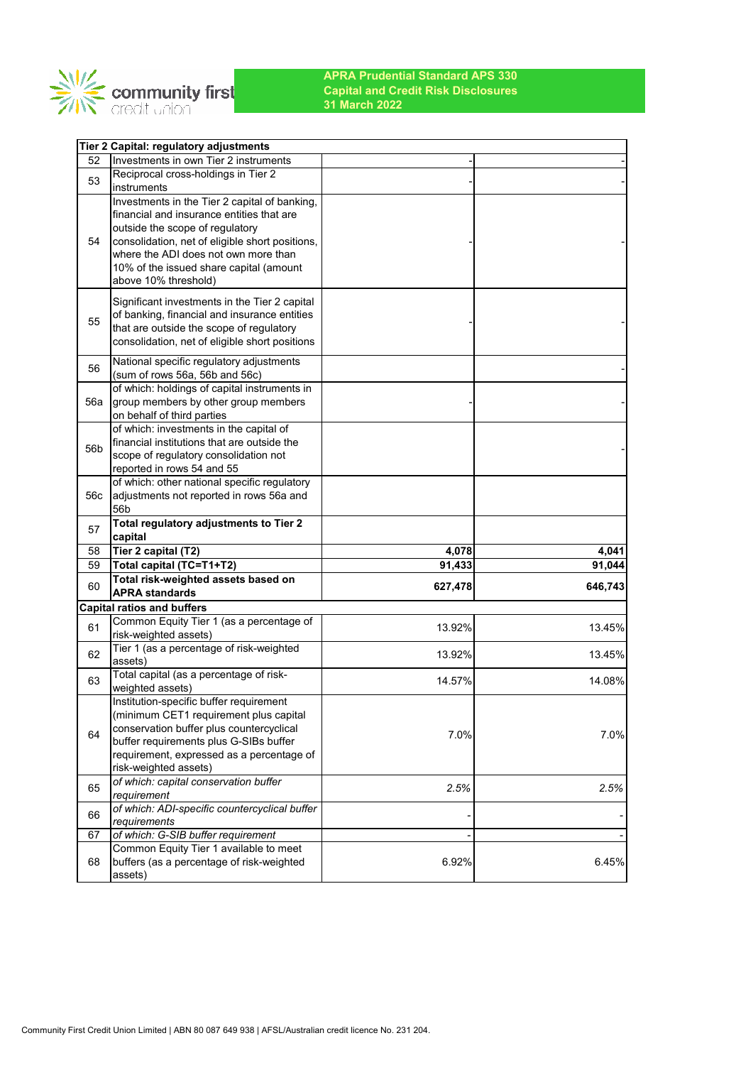

|     | Tier 2 Capital: regulatory adjustments                                                  |         |                   |
|-----|-----------------------------------------------------------------------------------------|---------|-------------------|
| 52  | Investments in own Tier 2 instruments                                                   |         |                   |
| 53  | Reciprocal cross-holdings in Tier 2                                                     |         |                   |
|     | instruments                                                                             |         |                   |
|     | Investments in the Tier 2 capital of banking,                                           |         |                   |
|     | financial and insurance entities that are                                               |         |                   |
|     | outside the scope of regulatory                                                         |         |                   |
| 54  | consolidation, net of eligible short positions,<br>where the ADI does not own more than |         |                   |
|     | 10% of the issued share capital (amount                                                 |         |                   |
|     | above 10% threshold)                                                                    |         |                   |
|     |                                                                                         |         |                   |
|     | Significant investments in the Tier 2 capital                                           |         |                   |
| 55  | of banking, financial and insurance entities                                            |         |                   |
|     | that are outside the scope of regulatory                                                |         |                   |
|     | consolidation, net of eligible short positions                                          |         |                   |
| 56  | National specific regulatory adjustments                                                |         |                   |
|     | (sum of rows 56a, 56b and 56c)                                                          |         |                   |
|     | of which: holdings of capital instruments in                                            |         |                   |
| 56a | group members by other group members                                                    |         |                   |
|     | on behalf of third parties<br>of which: investments in the capital of                   |         |                   |
|     | financial institutions that are outside the                                             |         |                   |
| 56b | scope of regulatory consolidation not                                                   |         |                   |
|     | reported in rows 54 and 55                                                              |         |                   |
|     | of which: other national specific regulatory                                            |         |                   |
| 56c | adjustments not reported in rows 56a and                                                |         |                   |
|     | 56b                                                                                     |         |                   |
|     |                                                                                         |         |                   |
|     | Total regulatory adjustments to Tier 2                                                  |         |                   |
| 57  | capital                                                                                 |         |                   |
| 58  | Tier 2 capital (T2)                                                                     | 4,078   | 4,041             |
| 59  | Total capital (TC=T1+T2)                                                                | 91,433  | 91,044            |
| 60  | Total risk-weighted assets based on                                                     | 627,478 |                   |
|     | <b>APRA standards</b>                                                                   |         |                   |
|     | <b>Capital ratios and buffers</b>                                                       |         |                   |
| 61  | Common Equity Tier 1 (as a percentage of                                                | 13.92%  |                   |
|     | risk-weighted assets)                                                                   |         | 646,743<br>13.45% |
| 62  | Tier 1 (as a percentage of risk-weighted<br>assets)                                     | 13.92%  |                   |
|     | Total capital (as a percentage of risk-                                                 |         |                   |
| 63  | weighted assets)                                                                        | 14.57%  | 13.45%<br>14.08%  |
|     | Institution-specific buffer requirement                                                 |         |                   |
|     | (minimum CET1 requirement plus capital                                                  |         |                   |
| 64  | conservation buffer plus countercyclical                                                |         |                   |
|     | buffer requirements plus G-SIBs buffer                                                  | 7.0%    | 7.0%              |
|     | requirement, expressed as a percentage of                                               |         |                   |
|     | risk-weighted assets)                                                                   |         |                   |
| 65  | of which: capital conservation buffer                                                   | 2.5%    | 2.5%              |
|     | requirement                                                                             |         |                   |
| 66  | of which: ADI-specific countercyclical buffer<br>requirements                           |         |                   |
| 67  | of which: G-SIB buffer requirement                                                      |         |                   |
|     | Common Equity Tier 1 available to meet                                                  |         |                   |
| 68  | buffers (as a percentage of risk-weighted<br>assets)                                    | 6.92%   | 6.45%             |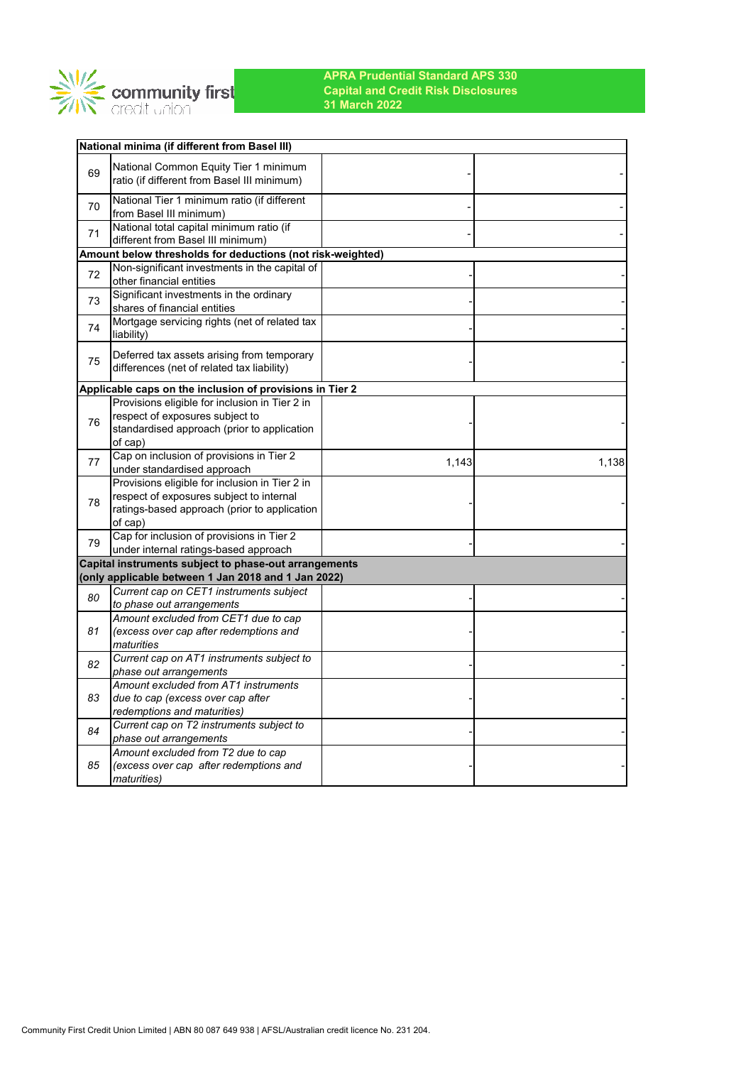

|    | National minima (if different from Basel III)                                              |       |       |
|----|--------------------------------------------------------------------------------------------|-------|-------|
| 69 | National Common Equity Tier 1 minimum                                                      |       |       |
|    | ratio (if different from Basel III minimum)                                                |       |       |
| 70 | National Tier 1 minimum ratio (if different<br>from Basel III minimum)                     |       |       |
| 71 | National total capital minimum ratio (if<br>different from Basel III minimum)              |       |       |
|    | Amount below thresholds for deductions (not risk-weighted)                                 |       |       |
| 72 | Non-significant investments in the capital of                                              |       |       |
|    | other financial entities                                                                   |       |       |
| 73 | Significant investments in the ordinary<br>shares of financial entities                    |       |       |
|    | Mortgage servicing rights (net of related tax                                              |       |       |
| 74 | liability)                                                                                 |       |       |
|    | Deferred tax assets arising from temporary                                                 |       |       |
| 75 | differences (net of related tax liability)                                                 |       |       |
|    | Applicable caps on the inclusion of provisions in Tier 2                                   |       |       |
|    | Provisions eligible for inclusion in Tier 2 in                                             |       |       |
| 76 | respect of exposures subject to                                                            |       |       |
|    | standardised approach (prior to application                                                |       |       |
|    | of cap)                                                                                    |       |       |
| 77 | Cap on inclusion of provisions in Tier 2                                                   | 1,143 | 1,138 |
|    | under standardised approach                                                                |       |       |
|    | Provisions eligible for inclusion in Tier 2 in<br>respect of exposures subject to internal |       |       |
| 78 | ratings-based approach (prior to application                                               |       |       |
|    | of cap)                                                                                    |       |       |
|    | Cap for inclusion of provisions in Tier 2                                                  |       |       |
| 79 | under internal ratings-based approach                                                      |       |       |
|    | Capital instruments subject to phase-out arrangements                                      |       |       |
|    | (only applicable between 1 Jan 2018 and 1 Jan 2022)                                        |       |       |
| 80 | Current cap on CET1 instruments subject<br>to phase out arrangements                       |       |       |
|    | Amount excluded from CET1 due to cap                                                       |       |       |
| 81 | (excess over cap after redemptions and                                                     |       |       |
|    | maturities                                                                                 |       |       |
| 82 | Current cap on AT1 instruments subject to<br>phase out arrangements                        |       |       |
|    | Amount excluded from AT1 instruments                                                       |       |       |
| 83 | due to cap (excess over cap after                                                          |       |       |
|    | redemptions and maturities)                                                                |       |       |
| 84 | Current cap on T2 instruments subject to<br>phase out arrangements                         |       |       |
|    | Amount excluded from T2 due to cap                                                         |       |       |
| 85 | (excess over cap after redemptions and                                                     |       |       |
|    | <i>maturities</i> )                                                                        |       |       |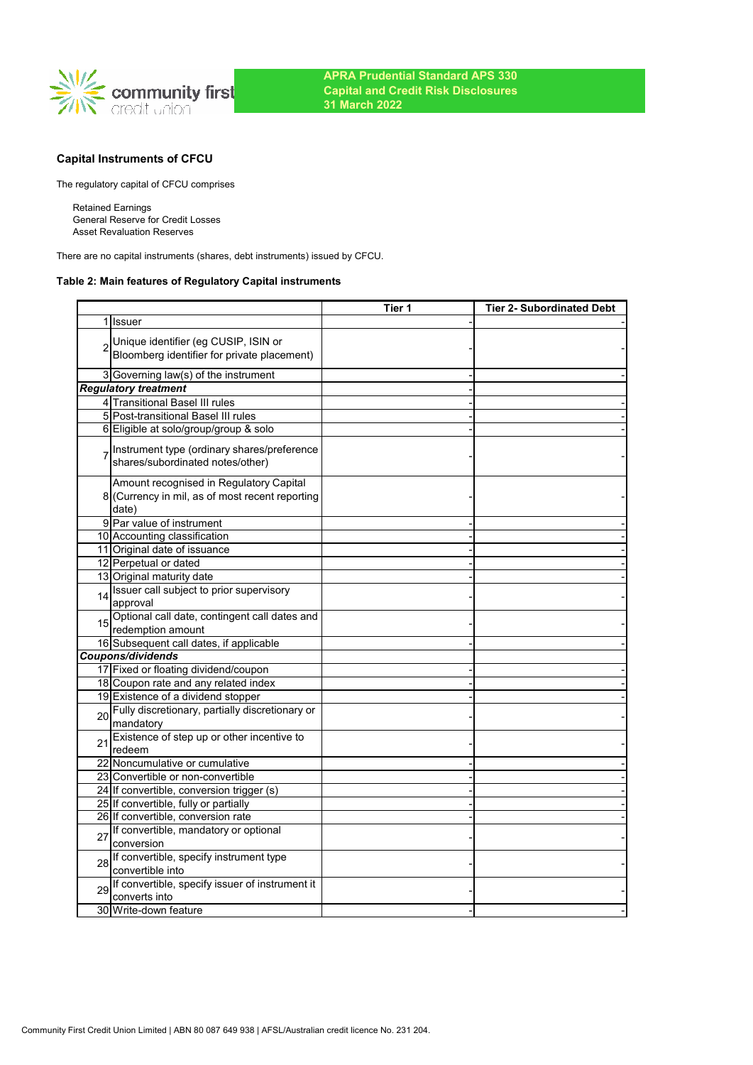

# **Capital Instruments of CFCU**

The regulatory capital of CFCU comprises

Retained Earnings General Reserve for Credit Losses Asset Revaluation Reserves

There are no capital instruments (shares, debt instruments) issued by CFCU.

## **Table 2: Main features of Regulatory Capital instruments**

|    |                                                                                                     | Tier 1 | <b>Tier 2- Subordinated Debt</b> |
|----|-----------------------------------------------------------------------------------------------------|--------|----------------------------------|
|    | 1 Issuer                                                                                            |        |                                  |
|    | Unique identifier (eg CUSIP, ISIN or<br>Bloomberg identifier for private placement)                 |        |                                  |
|    | 3 Governing law(s) of the instrument                                                                |        |                                  |
|    | <b>Regulatory treatment</b>                                                                         |        |                                  |
|    | 4 Transitional Basel III rules                                                                      |        |                                  |
|    | 5 Post-transitional Basel III rules                                                                 |        |                                  |
|    | 6 Eligible at solo/group/group & solo                                                               |        |                                  |
|    | Instrument type (ordinary shares/preference<br>shares/subordinated notes/other)                     |        |                                  |
|    | Amount recognised in Regulatory Capital<br>8 (Currency in mil, as of most recent reporting<br>date) |        |                                  |
|    | 9 Par value of instrument                                                                           |        |                                  |
|    | 10 Accounting classification                                                                        |        |                                  |
|    | 11 Original date of issuance                                                                        |        |                                  |
|    | 12 Perpetual or dated                                                                               |        |                                  |
|    | 13 Original maturity date                                                                           |        |                                  |
| 14 | Issuer call subject to prior supervisory<br>approval                                                |        |                                  |
|    | 15 Optional call date, contingent call dates and<br>redemption amount                               |        |                                  |
|    | 16 Subsequent call dates, if applicable                                                             |        |                                  |
|    | Coupons/dividends                                                                                   |        |                                  |
|    | 17 Fixed or floating dividend/coupon                                                                |        |                                  |
|    | 18 Coupon rate and any related index                                                                |        |                                  |
|    | 19 Existence of a dividend stopper                                                                  |        |                                  |
| 20 | Fully discretionary, partially discretionary or<br>mandatory                                        |        |                                  |
| 21 | Existence of step up or other incentive to<br>redeem                                                |        |                                  |
|    | 22 Noncumulative or cumulative                                                                      |        |                                  |
|    | 23 Convertible or non-convertible                                                                   |        |                                  |
|    | 24 If convertible, conversion trigger (s)                                                           |        |                                  |
|    | 25 If convertible, fully or partially                                                               |        |                                  |
|    | 26 If convertible, conversion rate                                                                  |        |                                  |
| 27 | If convertible, mandatory or optional<br>conversion                                                 |        |                                  |
| 28 | If convertible, specify instrument type<br>convertible into                                         |        |                                  |
| 29 | If convertible, specify issuer of instrument it<br>converts into                                    |        |                                  |
|    | 30 Write-down feature                                                                               |        |                                  |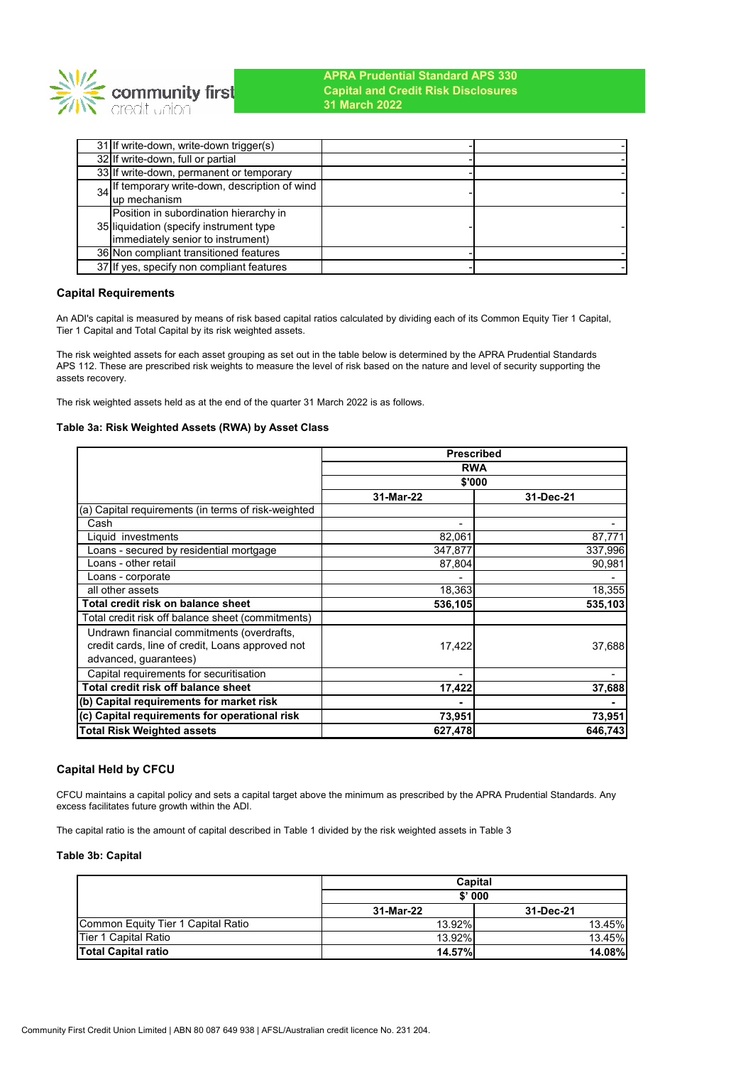

| 31 If write-down, write-down trigger(s)         |  |
|-------------------------------------------------|--|
| 32 If write-down, full or partial               |  |
| 33 If write-down, permanent or temporary        |  |
| 34 If temporary write-down, description of wind |  |
| lup mechanism                                   |  |
| Position in subordination hierarchy in          |  |
| 35 liquidation (specify instrument type         |  |
| immediately senior to instrument)               |  |
| 36 Non compliant transitioned features          |  |
| 37 If yes, specify non compliant features       |  |

## **Capital Requirements**

An ADI's capital is measured by means of risk based capital ratios calculated by dividing each of its Common Equity Tier 1 Capital, Tier 1 Capital and Total Capital by its risk weighted assets.

The risk weighted assets for each asset grouping as set out in the table below is determined by the APRA Prudential Standards APS 112. These are prescribed risk weights to measure the level of risk based on the nature and level of security supporting the assets recovery.

The risk weighted assets held as at the end of the quarter 31 March 2022 is as follows.

### **Table 3a: Risk Weighted Assets (RWA) by Asset Class**

|                                                     | <b>Prescribed</b> |           |  |  |
|-----------------------------------------------------|-------------------|-----------|--|--|
|                                                     | <b>RWA</b>        |           |  |  |
|                                                     | \$'000            |           |  |  |
|                                                     | 31-Mar-22         | 31-Dec-21 |  |  |
| (a) Capital requirements (in terms of risk-weighted |                   |           |  |  |
| Cash                                                | Ξ.                |           |  |  |
| Liquid investments                                  | 82,061            | 87,771    |  |  |
| Loans - secured by residential mortgage             | 347,877           | 337,996   |  |  |
| Loans - other retail                                | 87,804            | 90,981    |  |  |
| Loans - corporate                                   |                   |           |  |  |
| all other assets                                    | 18,363            | 18,355    |  |  |
| Total credit risk on balance sheet                  | 536,105           | 535,103   |  |  |
| Total credit risk off balance sheet (commitments)   |                   |           |  |  |
| Undrawn financial commitments (overdrafts,          |                   |           |  |  |
| credit cards, line of credit, Loans approved not    | 17,422            | 37,688    |  |  |
| advanced, guarantees)                               |                   |           |  |  |
| Capital requirements for securitisation             |                   |           |  |  |
| Total credit risk off balance sheet                 | 17,422            | 37,688    |  |  |
| (b) Capital requirements for market risk            |                   |           |  |  |
| (c) Capital requirements for operational risk       | 73,951            | 73,951    |  |  |
| Total Risk Weighted assets                          | 627,478           | 646,743   |  |  |

## **Capital Held by CFCU**

CFCU maintains a capital policy and sets a capital target above the minimum as prescribed by the APRA Prudential Standards. Any excess facilitates future growth within the ADI.

The capital ratio is the amount of capital described in Table 1 divided by the risk weighted assets in Table 3

### **Table 3b: Capital**

|                                    | Capital       |               |  |
|------------------------------------|---------------|---------------|--|
|                                    | \$'000        |               |  |
|                                    | 31-Mar-22     | 31-Dec-21     |  |
| Common Equity Tier 1 Capital Ratio | 13.92%        | 13.45%        |  |
| Tier 1 Capital Ratio               | 13.92%        | 13.45%        |  |
| <b>Total Capital ratio</b>         | <b>14.57%</b> | <b>14.08%</b> |  |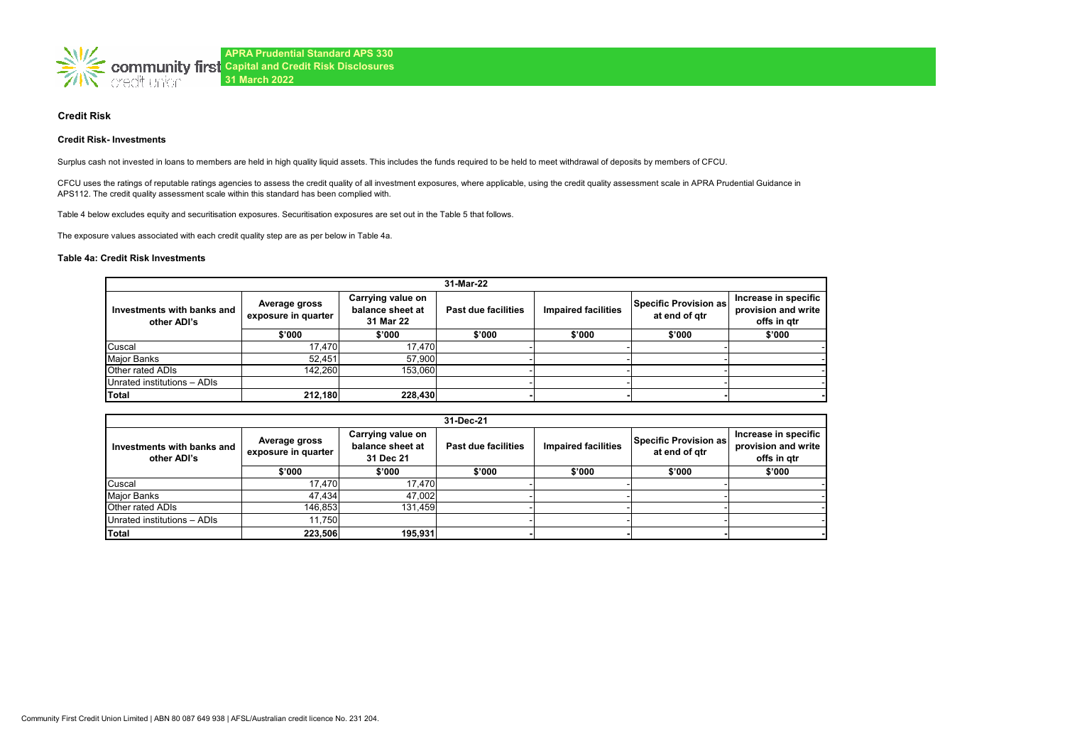

### **Credit Risk**

#### **Credit Risk- Investments**

Surplus cash not invested in loans to members are held in high quality liquid assets. This includes the funds required to be held to meet withdrawal of deposits by members of CFCU.

CFCU uses the ratings of reputable ratings agencies to assess the credit quality of all investment exposures, where applicable, using the credit quality assessment scale in APRA Prudential Guidance in APS112. The credit quality assessment scale within this standard has been complied with.

Table 4 below excludes equity and securitisation exposures. Securitisation exposures are set out in the Table 5 that follows.

The exposure values associated with each credit quality step are as per below in Table 4a.

### **Table 4a: Credit Risk Investments**

| 31-Mar-22                                 |                                                                                            |         |                     |                            |                                        |                                                            |  |
|-------------------------------------------|--------------------------------------------------------------------------------------------|---------|---------------------|----------------------------|----------------------------------------|------------------------------------------------------------|--|
| Investments with banks and<br>other ADI's | Carrying value on<br>Average gross<br>balance sheet at<br>exposure in quarter<br>31 Mar 22 |         | Past due facilities | <b>Impaired facilities</b> | Specific Provision as<br>at end of gtr | Increase in specific<br>provision and write<br>offs in gtr |  |
|                                           | \$'000                                                                                     | \$'000  | \$'000              | \$'000                     | \$'000                                 | \$'000                                                     |  |
| Cuscal                                    | 17.470                                                                                     | 17.470  |                     |                            |                                        |                                                            |  |
| Major Banks                               | 52.451                                                                                     | 57,900  |                     |                            |                                        |                                                            |  |
| Other rated ADIs                          | 142.260                                                                                    | 153,060 |                     |                            |                                        |                                                            |  |
| Unrated institutions - ADIs               |                                                                                            |         |                     |                            |                                        |                                                            |  |
| <b>Total</b>                              | 212,180                                                                                    | 228,430 |                     |                            |                                        |                                                            |  |

|                                           | 31-Dec-21                                                                                  |         |                     |                            |                                        |                                                            |  |
|-------------------------------------------|--------------------------------------------------------------------------------------------|---------|---------------------|----------------------------|----------------------------------------|------------------------------------------------------------|--|
| Investments with banks and<br>other ADI's | Carrying value on<br>Average gross<br>balance sheet at<br>exposure in quarter<br>31 Dec 21 |         | Past due facilities | <b>Impaired facilities</b> | Specific Provision as<br>at end of gtr | Increase in specific<br>provision and write<br>offs in atr |  |
|                                           | \$'000                                                                                     | \$'000  | \$'000              | \$'000                     | \$'000                                 | \$'000                                                     |  |
| Cuscal                                    | 17.470                                                                                     | 17.470  |                     |                            |                                        |                                                            |  |
| <b>Major Banks</b>                        | 47.434                                                                                     | 47.002  |                     |                            |                                        |                                                            |  |
| <b>Other rated ADIs</b>                   | 146,853                                                                                    | 131.459 |                     |                            |                                        |                                                            |  |
| Unrated institutions - ADIs               | 11.750                                                                                     |         |                     |                            |                                        |                                                            |  |
| Total                                     | 223.506                                                                                    | 195,931 |                     |                            |                                        |                                                            |  |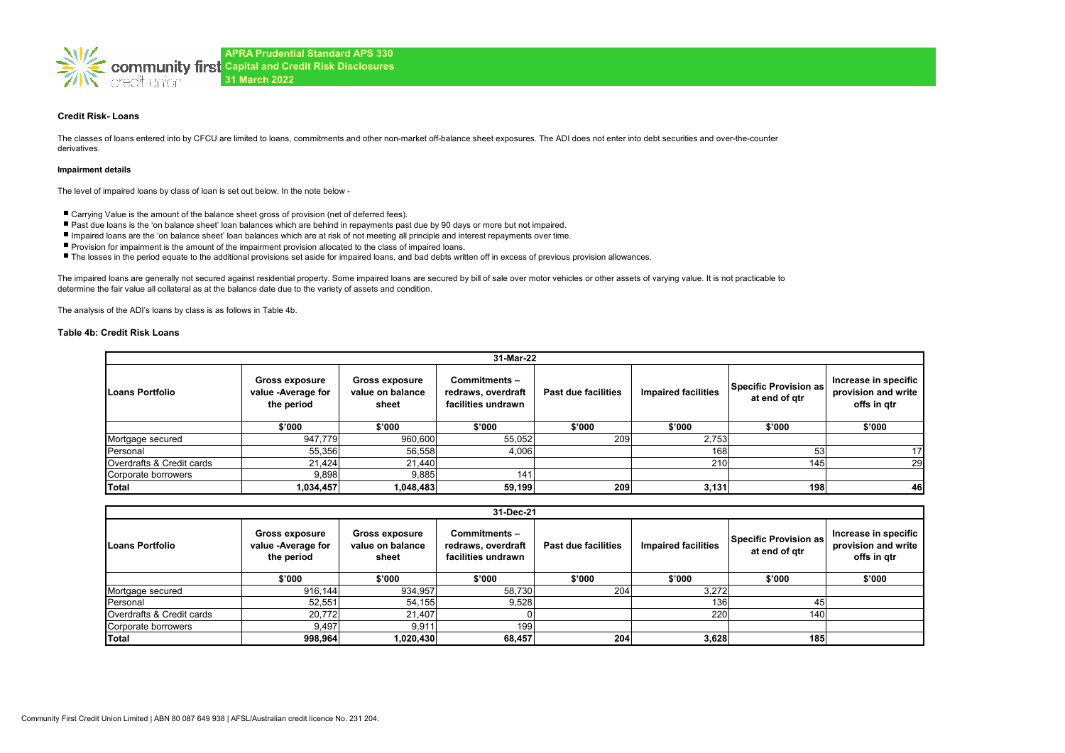

### **Credit Risk- Loans**

The classes of loans entered into by CFCU are limited to loans, commitments and other non-market off-balance sheet exposures. The ADI does not enter into debt securities and over-the-counter derivatives.

#### **Impairment details**

The level of impaired loans by class of loan is set out below. In the note below -

- Carrying Value is the amount of the balance sheet gross of provision (net of deferred fees).
- Past due loans is the 'on balance sheet' loan balances which are behind in repayments past due by 90 days or more but not impaired.
- Impaired loans are the 'on balance sheet' loan balances which are at risk of not meeting all principle and interest repayments over time.
- Provision for impairment is the amount of the impairment provision allocated to the class of impaired loans.
- The losses in the period equate to the additional provisions set aside for impaired loans, and bad debts written off in excess of previous provision allowances.

The impaired loans are generally not secured against residential property. Some impaired loans are secured by bill of sale over motor vehicles or other assets of varying value. It is not practicable to determine the fair value all collateral as at the balance date due to the variety of assets and condition.

The analysis of the ADI's loans by class is as follows in Table 4b.

#### **Table 4b: Credit Risk Loans**

| 31-Mar-22                 |                                                    |                                                    |                                                          |                     |                            |                                        |                                                            |  |
|---------------------------|----------------------------------------------------|----------------------------------------------------|----------------------------------------------------------|---------------------|----------------------------|----------------------------------------|------------------------------------------------------------|--|
| Loans Portfolio           | Gross exposure<br>value -Average for<br>the period | <b>Gross exposure</b><br>value on balance<br>sheet | Commitments-<br>redraws, overdraft<br>facilities undrawn | Past due facilities | <b>Impaired facilities</b> | Specific Provision as<br>at end of gtr | Increase in specific<br>provision and write<br>offs in gtr |  |
|                           | \$'000                                             | \$'000                                             | \$'000                                                   | \$'000              | \$'000                     | \$'000                                 | \$'000                                                     |  |
| Mortgage secured          | 947,779                                            | 960,600                                            | 55,052                                                   | 209                 | 2,753                      |                                        |                                                            |  |
| Personal                  | 55,356                                             | 56,558                                             | 4,006                                                    |                     | 168                        | 53                                     | 17                                                         |  |
| Overdrafts & Credit cards | 21,424                                             | 21,440                                             |                                                          |                     | 210                        | 145                                    | <b>29</b>                                                  |  |
| Corporate borrowers       | 9,898                                              | 9,885                                              | 141                                                      |                     |                            |                                        |                                                            |  |
| Total                     | 1,034,457                                          | 1,048,483                                          | 59,199                                                   | 209                 | 3,131                      | 198                                    | 46                                                         |  |

| 31-Dec-21                 |                                                           |                                                    |                                                          |                            |                            |                                        |                                                            |
|---------------------------|-----------------------------------------------------------|----------------------------------------------------|----------------------------------------------------------|----------------------------|----------------------------|----------------------------------------|------------------------------------------------------------|
| Loans Portfolio           | <b>Gross exposure</b><br>value -Average for<br>the period | <b>Gross exposure</b><br>value on balance<br>sheet | Commitments-<br>redraws, overdraft<br>facilities undrawn | <b>Past due facilities</b> | <b>Impaired facilities</b> | Specific Provision as<br>at end of gtr | Increase in specific<br>provision and write<br>offs in gtr |
|                           | \$'000                                                    | \$'000                                             | \$'000                                                   | \$'000                     | \$'000                     | \$'000                                 | \$'000                                                     |
| Mortgage secured          | 916,144                                                   | 934,957                                            | 58,730                                                   | 204                        | 3,272                      |                                        |                                                            |
| Personal                  | 52,551                                                    | 54,155                                             | 9,528                                                    |                            | 136                        | 45                                     |                                                            |
| Overdrafts & Credit cards | 20,772                                                    | 21,407                                             |                                                          |                            | 220                        | 140                                    |                                                            |
| Corporate borrowers       | 9.497                                                     | 9.911                                              | 199                                                      |                            |                            |                                        |                                                            |
| <b>Total</b>              | 998,964                                                   | 1,020,430                                          | 68.457                                                   | 204                        | 3,628                      | 185                                    |                                                            |